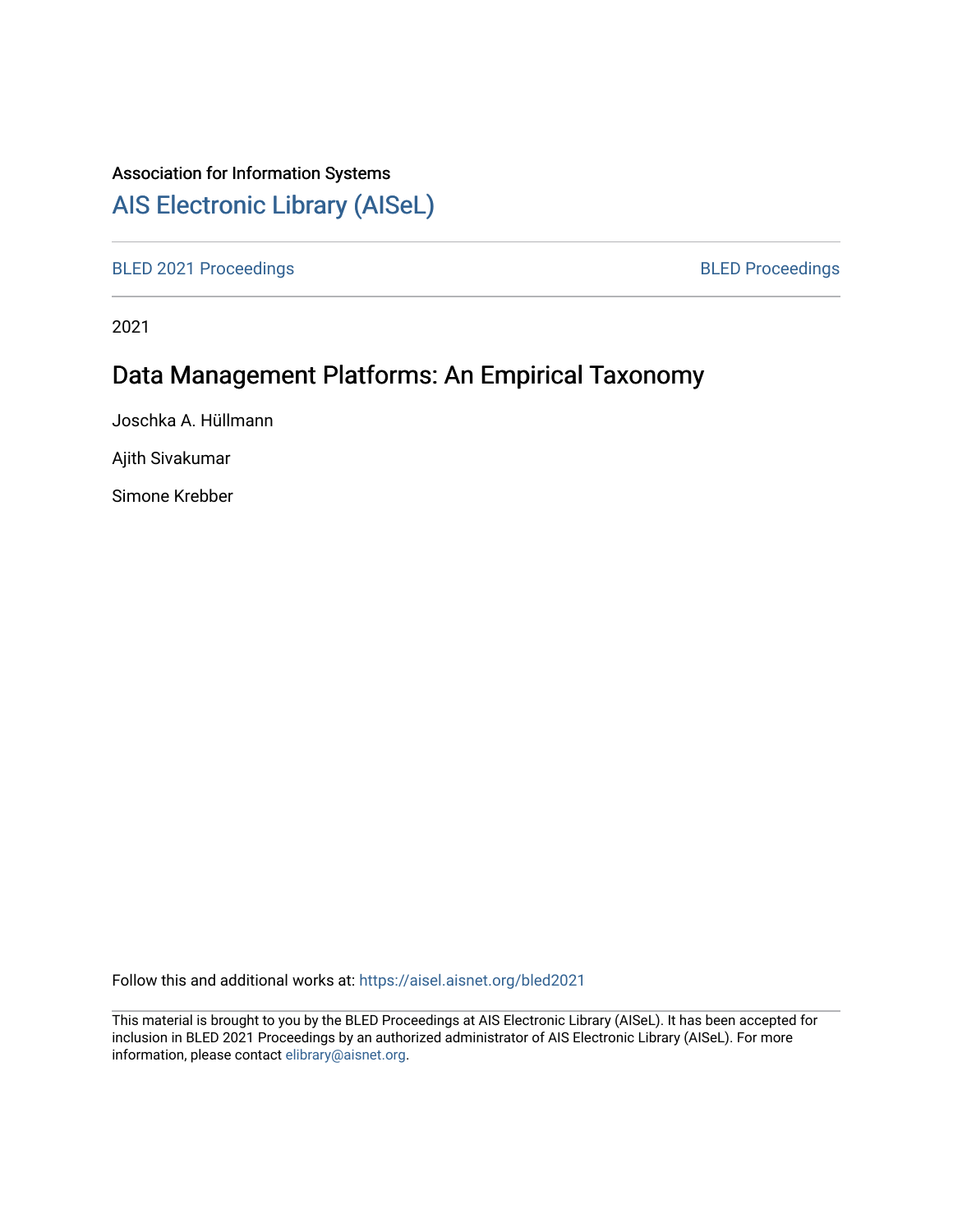### Association for Information Systems

## [AIS Electronic Library \(AISeL\)](https://aisel.aisnet.org/)

[BLED 2021 Proceedings](https://aisel.aisnet.org/bled2021) **BLED Proceedings** 

2021

# Data Management Platforms: An Empirical Taxonomy

Joschka A. Hüllmann

Ajith Sivakumar

Simone Krebber

Follow this and additional works at: [https://aisel.aisnet.org/bled2021](https://aisel.aisnet.org/bled2021?utm_source=aisel.aisnet.org%2Fbled2021%2F9&utm_medium=PDF&utm_campaign=PDFCoverPages) 

This material is brought to you by the BLED Proceedings at AIS Electronic Library (AISeL). It has been accepted for inclusion in BLED 2021 Proceedings by an authorized administrator of AIS Electronic Library (AISeL). For more information, please contact [elibrary@aisnet.org.](mailto:elibrary@aisnet.org%3E)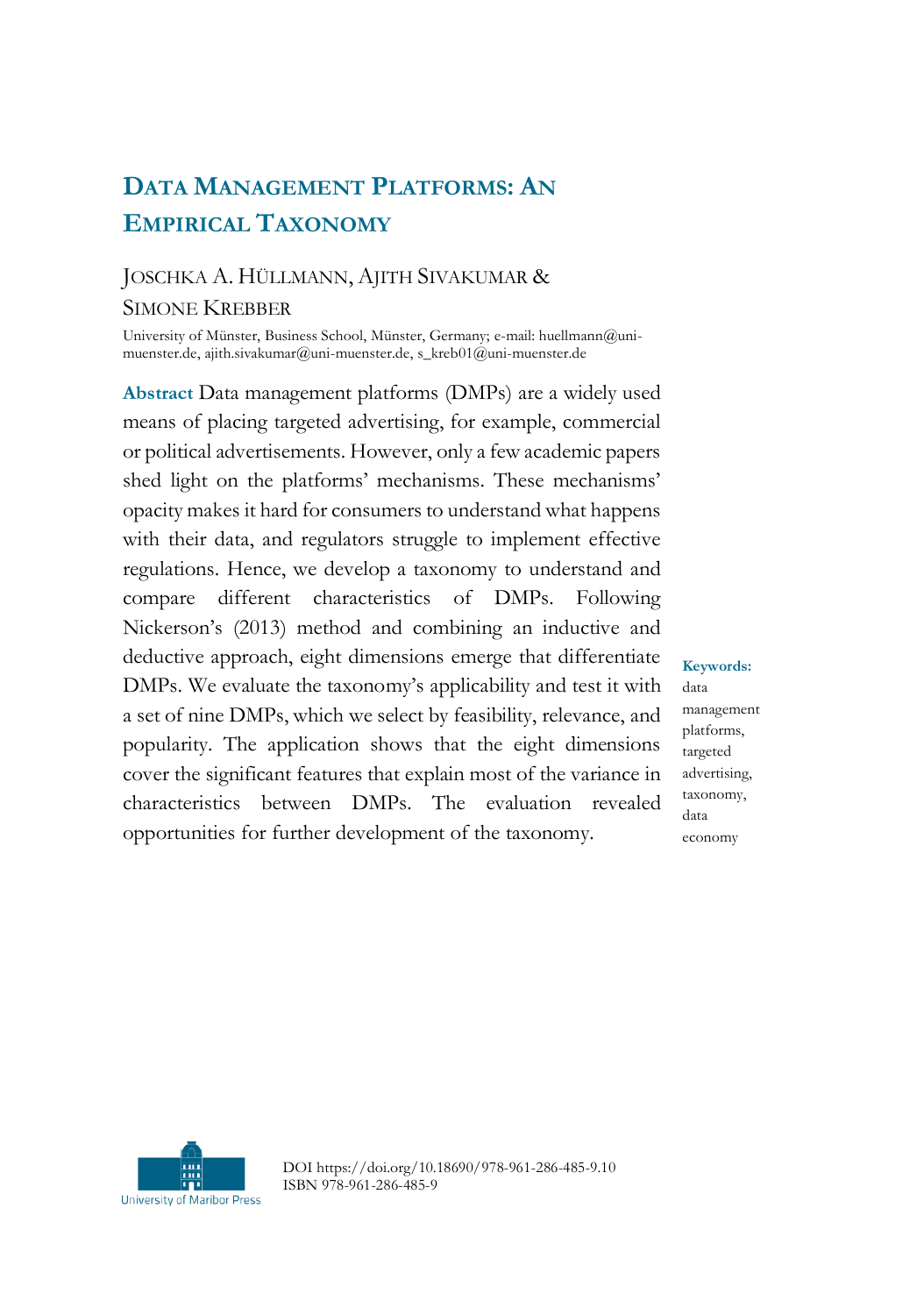## **DATA MANAGEMENT PLATFORMS: AN EMPIRICAL TAXONOMY**

### JOSCHKA A. HÜLLMANN, AJITH SIVAKUMAR & SIMONE KREBBER

University of Münster, Business School, Münster, Germany; e-mail: huellmann@unimuenster.de, ajith.sivakumar@uni-muenster.de, s\_kreb01@uni-muenster.de

**Abstract** Data management platforms (DMPs) are a widely used means of placing targeted advertising, for example, commercial or political advertisements. However, only a few academic papers shed light on the platforms' mechanisms. These mechanisms' opacity makes it hard for consumers to understand what happens with their data, and regulators struggle to implement effective regulations. Hence, we develop a taxonomy to understand and compare different characteristics of DMPs. Following Nickerson's (2013) method and combining an inductive and deductive approach, eight dimensions emerge that differentiate DMPs. We evaluate the taxonomy's applicability and test it with a set of nine DMPs, which we select by feasibility, relevance, and popularity. The application shows that the eight dimensions cover the significant features that explain most of the variance in characteristics between DMPs. The evaluation revealed opportunities for further development of the taxonomy.

**Keywords:** data management platforms, targeted advertising, taxonomy, data economy



DOI https://doi.org/10.18690/978-961-286-485-9.10 ISBN 978-961-286-485-9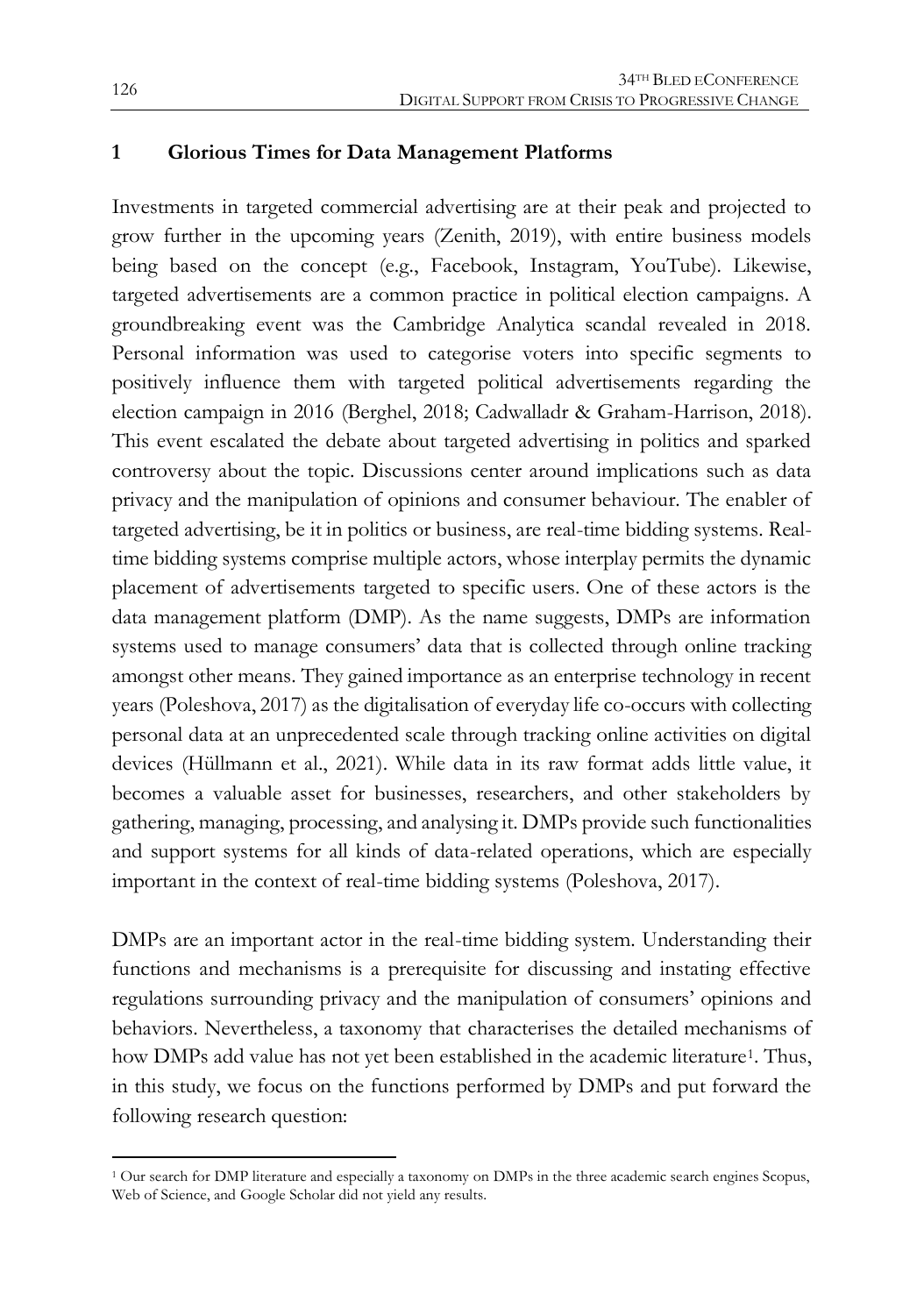#### **1 Glorious Times for Data Management Platforms**

Investments in targeted commercial advertising are at their peak and projected to grow further in the upcoming years (Zenith, 2019), with entire business models being based on the concept (e.g., Facebook, Instagram, YouTube). Likewise, targeted advertisements are a common practice in political election campaigns. A groundbreaking event was the Cambridge Analytica scandal revealed in 2018. Personal information was used to categorise voters into specific segments to positively influence them with targeted political advertisements regarding the election campaign in 2016 (Berghel, 2018; Cadwalladr & Graham-Harrison, 2018). This event escalated the debate about targeted advertising in politics and sparked controversy about the topic. Discussions center around implications such as data privacy and the manipulation of opinions and consumer behaviour. The enabler of targeted advertising, be it in politics or business, are real-time bidding systems. Realtime bidding systems comprise multiple actors, whose interplay permits the dynamic placement of advertisements targeted to specific users. One of these actors is the data management platform (DMP). As the name suggests, DMPs are information systems used to manage consumers' data that is collected through online tracking amongst other means. They gained importance as an enterprise technology in recent years (Poleshova, 2017) as the digitalisation of everyday life co-occurs with collecting personal data at an unprecedented scale through tracking online activities on digital devices (Hüllmann et al., 2021). While data in its raw format adds little value, it becomes a valuable asset for businesses, researchers, and other stakeholders by gathering, managing, processing, and analysing it. DMPs provide such functionalities and support systems for all kinds of data-related operations, which are especially important in the context of real-time bidding systems (Poleshova, 2017).

DMPs are an important actor in the real-time bidding system. Understanding their functions and mechanisms is a prerequisite for discussing and instating effective regulations surrounding privacy and the manipulation of consumers' opinions and behaviors. Nevertheless, a taxonomy that characterises the detailed mechanisms of how DMPs add value has not yet been established in the academic literature<sup>1</sup>. Thus, in this study, we focus on the functions performed by DMPs and put forward the following research question:

 $\overline{a}$ 

<sup>1</sup> Our search for DMP literature and especially a taxonomy on DMPs in the three academic search engines Scopus, Web of Science, and Google Scholar did not yield any results.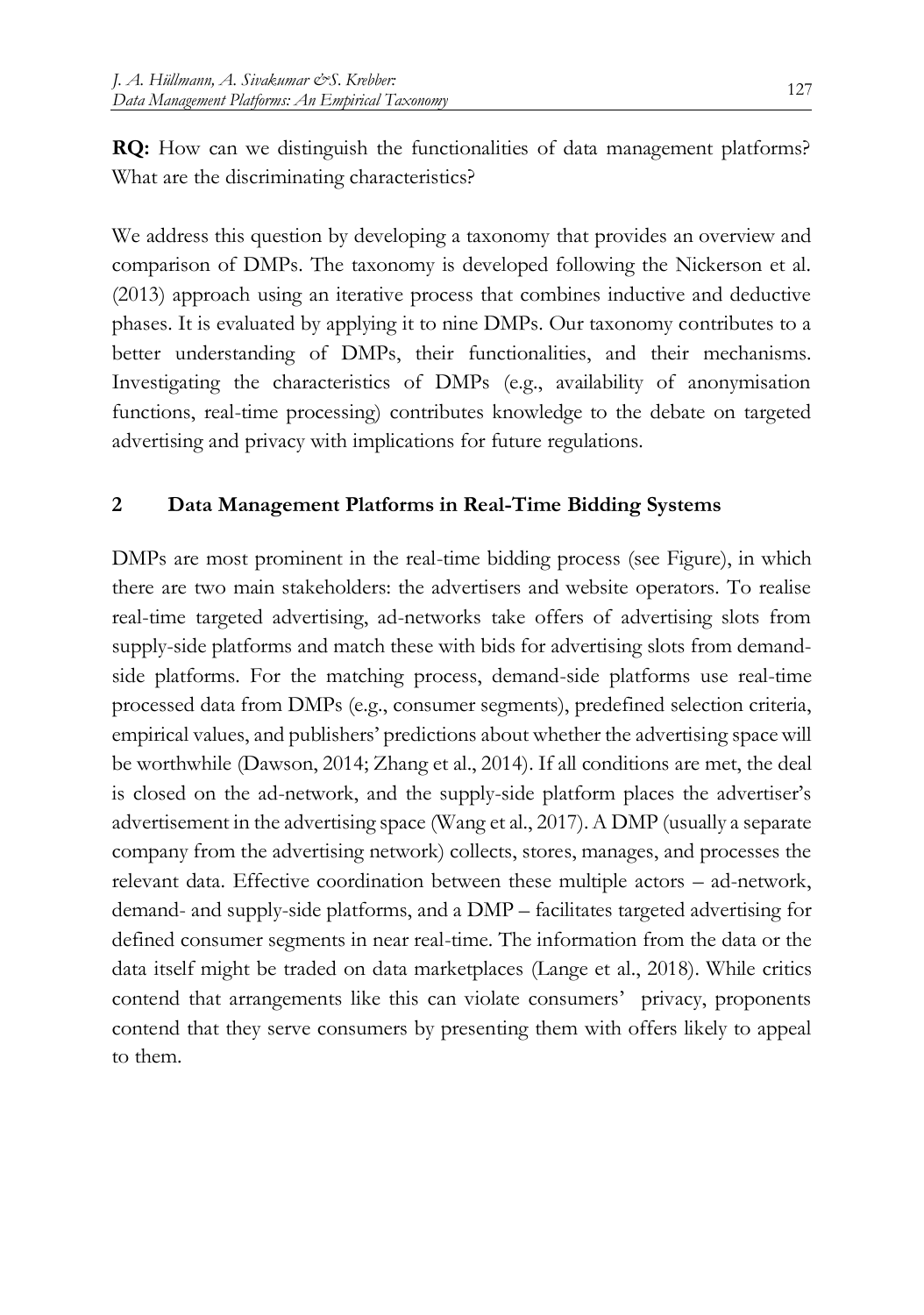**RQ:** How can we distinguish the functionalities of data management platforms? What are the discriminating characteristics?

We address this question by developing a taxonomy that provides an overview and comparison of DMPs. The taxonomy is developed following the Nickerson et al. (2013) approach using an iterative process that combines inductive and deductive phases. It is evaluated by applying it to nine DMPs. Our taxonomy contributes to a better understanding of DMPs, their functionalities, and their mechanisms. Investigating the characteristics of DMPs (e.g., availability of anonymisation functions, real-time processing) contributes knowledge to the debate on targeted advertising and privacy with implications for future regulations.

#### **2 Data Management Platforms in Real-Time Bidding Systems**

DMPs are most prominent in the real-time bidding process (see [Figure\)](#page-4-0), in which there are two main stakeholders: the advertisers and website operators. To realise real-time targeted advertising, ad-networks take offers of advertising slots from supply-side platforms and match these with bids for advertising slots from demandside platforms. For the matching process, demand-side platforms use real-time processed data from DMPs (e.g., consumer segments), predefined selection criteria, empirical values, and publishers' predictions about whether the advertising space will be worthwhile (Dawson, 2014; Zhang et al., 2014). If all conditions are met, the deal is closed on the ad-network, and the supply-side platform places the advertiser's advertisement in the advertising space (Wang et al., 2017). A DMP (usually a separate company from the advertising network) collects, stores, manages, and processes the relevant data. Effective coordination between these multiple actors – ad-network, demand- and supply-side platforms, and a DMP – facilitates targeted advertising for defined consumer segments in near real-time. The information from the data or the data itself might be traded on data marketplaces (Lange et al., 2018). While critics contend that arrangements like this can violate consumers' privacy, proponents contend that they serve consumers by presenting them with offers likely to appeal to them.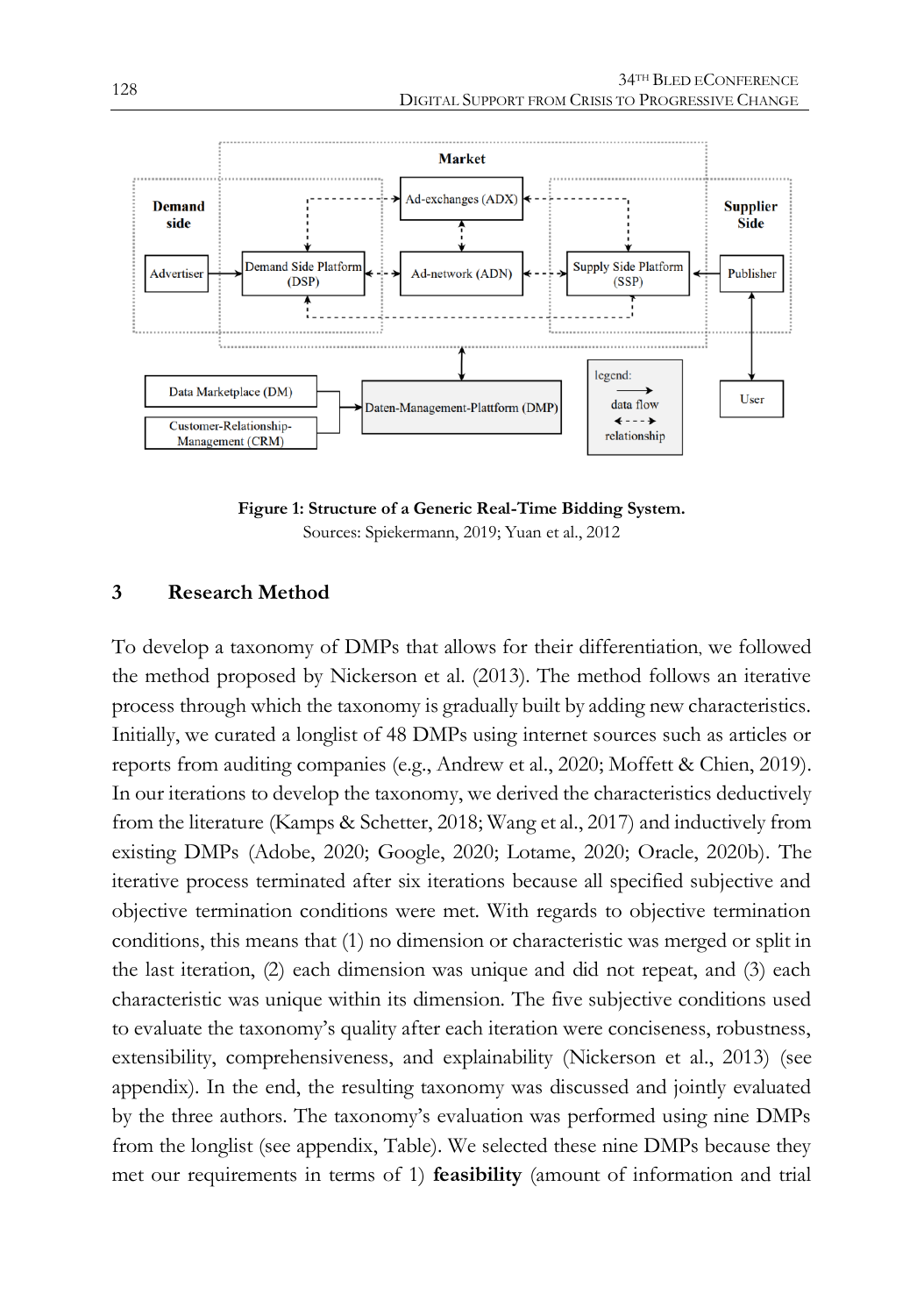

**Figure 1: Structure of a Generic Real-Time Bidding System.** Sources: Spiekermann, 2019; Yuan et al., 2012

#### <span id="page-4-0"></span>**3 Research Method**

To develop a taxonomy of DMPs that allows for their differentiation, we followed the method proposed by Nickerson et al. (2013). The method follows an iterative process through which the taxonomy is gradually built by adding new characteristics. Initially, we curated a longlist of 48 DMPs using internet sources such as articles or reports from auditing companies (e.g., Andrew et al., 2020; Moffett & Chien, 2019). In our iterations to develop the taxonomy, we derived the characteristics deductively from the literature (Kamps & Schetter, 2018; Wang et al., 2017) and inductively from existing DMPs (Adobe, 2020; Google, 2020; Lotame, 2020; Oracle, 2020b). The iterative process terminated after six iterations because all specified subjective and objective termination conditions were met. With regards to objective termination conditions, this means that (1) no dimension or characteristic was merged or split in the last iteration, (2) each dimension was unique and did not repeat, and (3) each characteristic was unique within its dimension. The five subjective conditions used to evaluate the taxonomy's quality after each iteration were conciseness, robustness, extensibility, comprehensiveness, and explainability (Nickerson et al., 2013) (see appendix). In the end, the resulting taxonomy was discussed and jointly evaluated by the three authors. The taxonomy's evaluation was performed using nine DMPs from the longlist (see appendix, [Table\)](#page-14-0). We selected these nine DMPs because they met our requirements in terms of 1) **feasibility** (amount of information and trial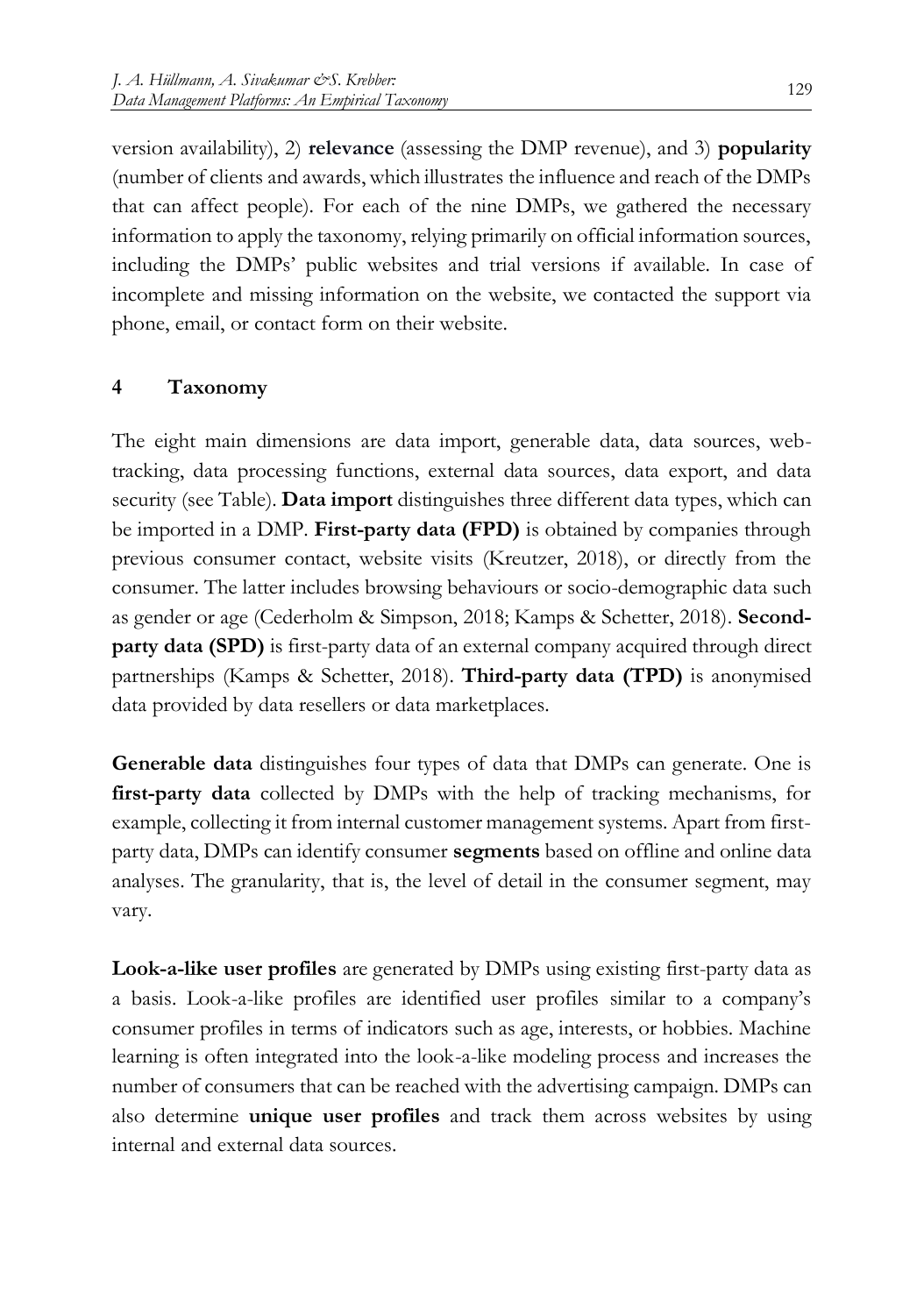version availability), 2) **relevance** (assessing the DMP revenue), and 3) **popularity** (number of clients and awards, which illustrates the influence and reach of the DMPs that can affect people). For each of the nine DMPs, we gathered the necessary information to apply the taxonomy, relying primarily on official information sources, including the DMPs' public websites and trial versions if available. In case of incomplete and missing information on the website, we contacted the support via phone, email, or contact form on their website.

#### **4 Taxonomy**

The eight main dimensions are data import, generable data, data sources, webtracking, data processing functions, external data sources, data export, and data security (se[e Table\)](#page-7-0). **Data import** distinguishes three different data types, which can be imported in a DMP. **First-party data (FPD)** is obtained by companies through previous consumer contact, website visits (Kreutzer, 2018), or directly from the consumer. The latter includes browsing behaviours or socio-demographic data such as gender or age (Cederholm & Simpson, 2018; Kamps & Schetter, 2018). **Secondparty data (SPD)** is first-party data of an external company acquired through direct partnerships (Kamps & Schetter, 2018). **Third-party data (TPD)** is anonymised data provided by data resellers or data marketplaces.

**Generable data** distinguishes four types of data that DMPs can generate. One is **first-party data** collected by DMPs with the help of tracking mechanisms, for example, collecting it from internal customer management systems. Apart from firstparty data, DMPs can identify consumer **segments** based on offline and online data analyses. The granularity, that is, the level of detail in the consumer segment, may vary.

**Look-a-like user profiles** are generated by DMPs using existing first-party data as a basis. Look-a-like profiles are identified user profiles similar to a company's consumer profiles in terms of indicators such as age, interests, or hobbies. Machine learning is often integrated into the look-a-like modeling process and increases the number of consumers that can be reached with the advertising campaign. DMPs can also determine **unique user profiles** and track them across websites by using internal and external data sources.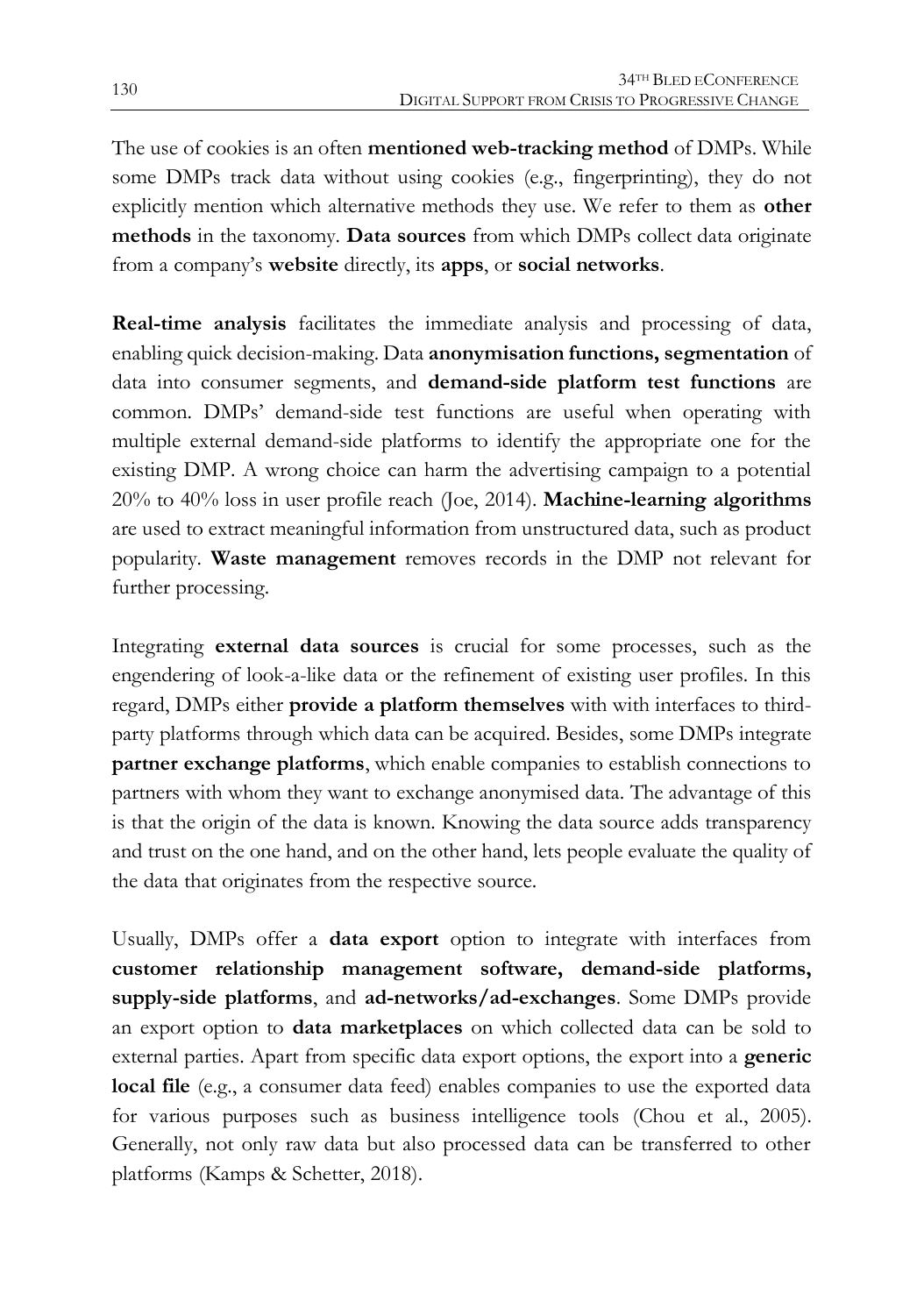The use of cookies is an often **mentioned web-tracking method** of DMPs. While some DMPs track data without using cookies (e.g., fingerprinting), they do not explicitly mention which alternative methods they use. We refer to them as **other methods** in the taxonomy. **Data sources** from which DMPs collect data originate from a company's **website** directly, its **apps**, or **social networks**.

**Real-time analysis** facilitates the immediate analysis and processing of data, enabling quick decision-making. Data **anonymisation functions, segmentation** of data into consumer segments, and **demand-side platform test functions** are common. DMPs' demand-side test functions are useful when operating with multiple external demand-side platforms to identify the appropriate one for the existing DMP. A wrong choice can harm the advertising campaign to a potential 20% to 40% loss in user profile reach (Joe, 2014). **Machine-learning algorithms** are used to extract meaningful information from unstructured data, such as product popularity. **Waste management** removes records in the DMP not relevant for further processing.

Integrating **external data sources** is crucial for some processes, such as the engendering of look-a-like data or the refinement of existing user profiles. In this regard, DMPs either **provide a platform themselves** with with interfaces to thirdparty platforms through which data can be acquired. Besides, some DMPs integrate **partner exchange platforms**, which enable companies to establish connections to partners with whom they want to exchange anonymised data. The advantage of this is that the origin of the data is known. Knowing the data source adds transparency and trust on the one hand, and on the other hand, lets people evaluate the quality of the data that originates from the respective source.

Usually, DMPs offer a **data export** option to integrate with interfaces from **customer relationship management software, demand-side platforms, supply-side platforms**, and **ad-networks/ad-exchanges**. Some DMPs provide an export option to **data marketplaces** on which collected data can be sold to external parties. Apart from specific data export options, the export into a **generic local file** (e.g., a consumer data feed) enables companies to use the exported data for various purposes such as business intelligence tools (Chou et al., 2005). Generally, not only raw data but also processed data can be transferred to other platforms (Kamps & Schetter, 2018).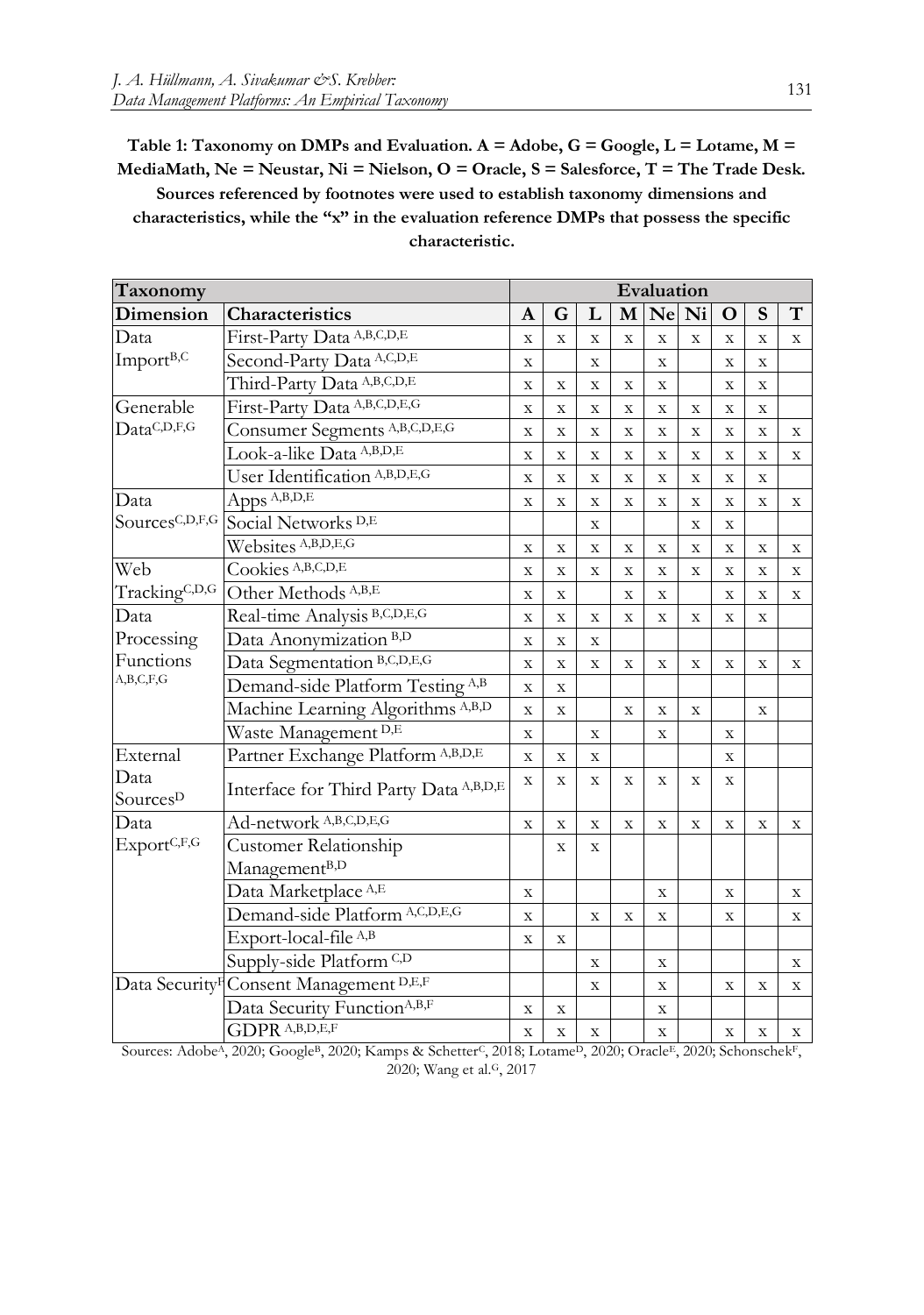<span id="page-7-0"></span>**Table 1: Taxonomy on DMPs and Evaluation. A = Adobe, G = Google, L = Lotame, M = MediaMath, Ne = Neustar, Ni = Nielson, O = Oracle, S = Salesforce, T = The Trade Desk. Sources referenced by footnotes were used to establish taxonomy dimensions and characteristics, while the "x" in the evaluation reference DMPs that possess the specific characteristic.** 

| Taxonomy                     |                                         |             | Evaluation  |              |                |              |             |                         |                         |              |
|------------------------------|-----------------------------------------|-------------|-------------|--------------|----------------|--------------|-------------|-------------------------|-------------------------|--------------|
| Dimension                    | Characteristics                         | A           | G           | L            | M              |              | Ne Ni       | $\mathbf{O}$            | S                       | T            |
| Data                         | First-Party Data A,B,C,D,E              |             | $\mathbf X$ | X            | X              | $\mathbf X$  | $\mathbf X$ | X                       | X                       | X            |
| Import <sup>B,C</sup>        | Second-Party Data A,C,D,E               |             |             | $\mathbf X$  |                | X            |             | $\mathbf X$             | $\mathbf X$             |              |
|                              | Third-Party Data A,B,C,D,E              |             | $\mathbf X$ | $\mathbf X$  | $\mathbf{X}$   | $\mathbf{X}$ |             | $\mathbf X$             | $\mathbf X$             |              |
| Generable                    | First-Party Data A,B,C,D,E,G            |             | $\bar{X}$   | $\mathbf X$  | $\mathbf{X}$   | $\mathbf X$  | $\mathbf X$ | $\bar{X}$               | $\mathbf X$             |              |
| DataC,D,F,G                  | Consumer Segments A,B,C,D,E,G           |             | $\mathbf X$ | $\mathbf X$  | $\mathbf{X}$   | $\mathbf X$  | $\bar{X}$   | $\overline{\mathbf{X}}$ | $\mathbf X$             | $\mathbf{X}$ |
|                              | Look-a-like Data A,B,D,E                |             | $\mathbf X$ | $\mathbf X$  | $\mathbf X$    | $\mathbf X$  | $\mathbf X$ | $\mathbf X$             | $\mathbf X$             | $\mathbf{X}$ |
|                              | User Identification A,B,D,E,G           |             | $\mathbf X$ | $\mathbf X$  | $\mathbf X$    | $\mathbf X$  | $\mathbf X$ | $\overline{\mathbf{X}}$ | $\mathbf X$             |              |
| Data                         | Apps A,B,D,E                            |             | X           | X            | X              | X            | X           | $\overline{\mathbf{X}}$ | X                       | X            |
| SourcesC,D,F,G               | Social Networks <sup>D,E</sup>          |             |             | X            |                |              | $\mathbf X$ | $\mathbf X$             |                         |              |
|                              | Websites A,B,D,E,G                      | $\mathbf X$ | X           | X            | X              | $\mathbf X$  | $\mathbf X$ | $\mathbf X$             | $\mathbf X$             | X            |
| Web                          | Cookies A,B,C,D,E                       | $\mathbf X$ | $\mathbf X$ | $\mathbf X$  | $\mathbf X$    | $\mathbf X$  | $\mathbf X$ | $\mathbf X$             | $\mathbf X$             | X            |
| TrackingC,D,G                | Other Methods <sup>A,B,E</sup>          | $\mathbf X$ | $\mathbf X$ |              | $\mathbf{X}$   | X            |             | $\mathbf X$             | $\mathbf X$             | X            |
| Data                         | Real-time Analysis B,C,D,E,G            |             | $\mathbf X$ | $\mathbf X$  | $\mathbf X$    | $\mathbf X$  | $\mathbf X$ | $\mathbf X$             | $\mathbf X$             |              |
| Processing                   | Data Anonymization <sup>B,D</sup>       | $\mathbf X$ | $\mathbf X$ | $\mathbf X$  |                |              |             |                         |                         |              |
| Functions                    | Data Segmentation B,C,D,E,G             | $\mathbf X$ | $\mathbf x$ | $\mathbf X$  | $\mathbf X$    | $\mathbf X$  | $\mathbf X$ | $\mathbf X$             | $\mathbf X$             | $\mathbf X$  |
| A,B,C,F,G                    | Demand-side Platform Testing A,B        | $\mathbf X$ | $\mathbf X$ |              |                |              |             |                         |                         |              |
|                              | Machine Learning Algorithms A,B,D       | X           | $\mathbf X$ |              | $\mathbf X$    | X            | $\mathbf X$ |                         | X                       |              |
|                              | Waste Management D,E                    | $\mathbf X$ |             | $\mathbf X$  |                | $\mathbf X$  |             | $\mathbf X$             |                         |              |
| External                     | Partner Exchange Platform A,B,D,E       |             | $\mathbf X$ | $\mathbf X$  |                |              |             | $\mathbf X$             |                         |              |
| Data<br>Sources <sup>D</sup> | Interface for Third Party Data A,B,D,E  | $\mathbf X$ | $\mathbf X$ | $\mathbf X$  | X              | X            | $\mathbf X$ | X                       |                         |              |
| Data                         | Ad-network A,B,C,D,E,G                  | $\mathbf X$ | $\mathbf X$ | $\mathbf{x}$ | $\overline{X}$ | $\mathbf X$  | $\mathbf X$ | $\mathbf X$             | $\mathbf{x}$            | $\mathbf X$  |
| ExportC,F,G                  | Customer Relationship                   |             | X           | X            |                |              |             |                         |                         |              |
|                              | Management <sup>B,D</sup>               |             |             |              |                |              |             |                         |                         |              |
|                              | Data Marketplace <sup>A,E</sup>         | $\mathbf X$ |             |              |                | X            |             | X                       |                         | X            |
|                              | Demand-side Platform A,C,D,E,G          | $\mathbf X$ |             | $\mathbf X$  | X              | X            |             | X                       |                         | X            |
|                              | Export-local-file A,B                   | $\mathbf X$ | $\mathbf X$ |              |                |              |             |                         |                         |              |
|                              | Supply-side Platform <sup>C,D</sup>     |             |             | X            |                | X            |             |                         |                         | X            |
| Data Security <sup>F</sup>   | Consent Management D,E,F                |             |             | $\mathbf X$  |                | $\mathbf X$  |             | $\overline{\mathbf{X}}$ | $\overline{\mathbf{X}}$ | $\mathbf X$  |
|                              | Data Security Function <sup>A,B,F</sup> | $\mathbf X$ | $\mathbf X$ |              |                | $\mathbf X$  |             |                         |                         |              |
|                              | GDPR A,B,D,E,F                          | X           | $\mathbf X$ | $\mathbf X$  |                | X            |             | $\mathbf X$             | X                       | X            |

Sources: Adobe<sup>A</sup>, 2020; Google<sup>B</sup>, 2020; Kamps & Schetter<sup>C</sup>, 2018; Lotame<sup>D</sup>, 2020; Oracle<sup>E</sup>, 2020; Schonschek<sup>F</sup>, 2020; Wang et al.G, 2017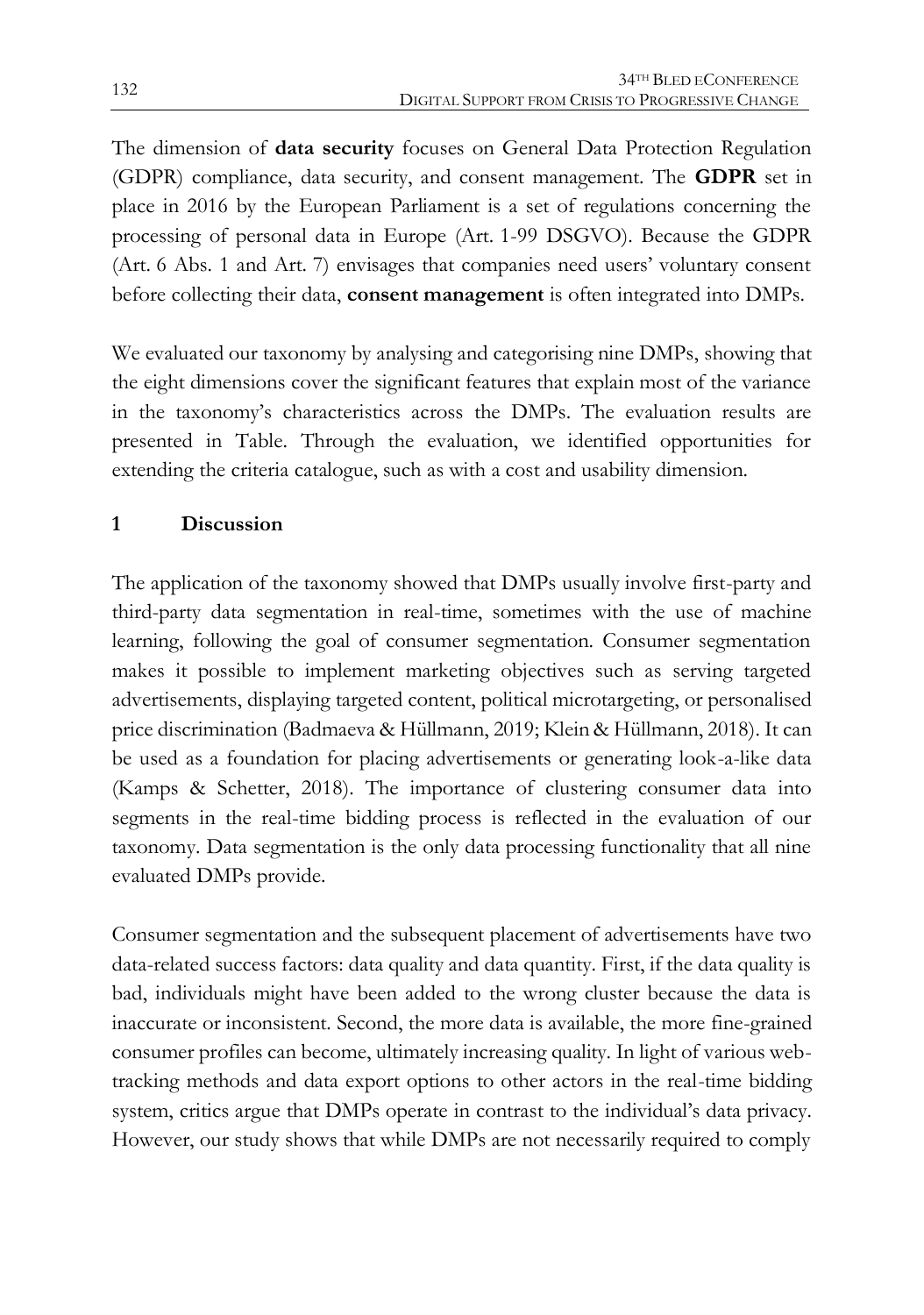The dimension of **data security** focuses on General Data Protection Regulation (GDPR) compliance, data security, and consent management. The **GDPR** set in place in 2016 by the European Parliament is a set of regulations concerning the processing of personal data in Europe (Art. 1-99 DSGVO). Because the GDPR (Art. 6 Abs. 1 and Art. 7) envisages that companies need users' voluntary consent before collecting their data, **consent management** is often integrated into DMPs.

We evaluated our taxonomy by analysing and categorising nine DMPs, showing that the eight dimensions cover the significant features that explain most of the variance in the taxonomy's characteristics across the DMPs. The evaluation results are presented in [Table.](#page-7-0) Through the evaluation, we identified opportunities for extending the criteria catalogue, such as with a cost and usability dimension.

#### **1 Discussion**

The application of the taxonomy showed that DMPs usually involve first-party and third-party data segmentation in real-time, sometimes with the use of machine learning, following the goal of consumer segmentation. Consumer segmentation makes it possible to implement marketing objectives such as serving targeted advertisements, displaying targeted content, political microtargeting, or personalised price discrimination (Badmaeva & Hüllmann, 2019; Klein & Hüllmann, 2018). It can be used as a foundation for placing advertisements or generating look-a-like data (Kamps & Schetter, 2018). The importance of clustering consumer data into segments in the real-time bidding process is reflected in the evaluation of our taxonomy. Data segmentation is the only data processing functionality that all nine evaluated DMPs provide.

Consumer segmentation and the subsequent placement of advertisements have two data-related success factors: data quality and data quantity. First, if the data quality is bad, individuals might have been added to the wrong cluster because the data is inaccurate or inconsistent. Second, the more data is available, the more fine-grained consumer profiles can become, ultimately increasing quality. In light of various webtracking methods and data export options to other actors in the real-time bidding system, critics argue that DMPs operate in contrast to the individual's data privacy. However, our study shows that while DMPs are not necessarily required to comply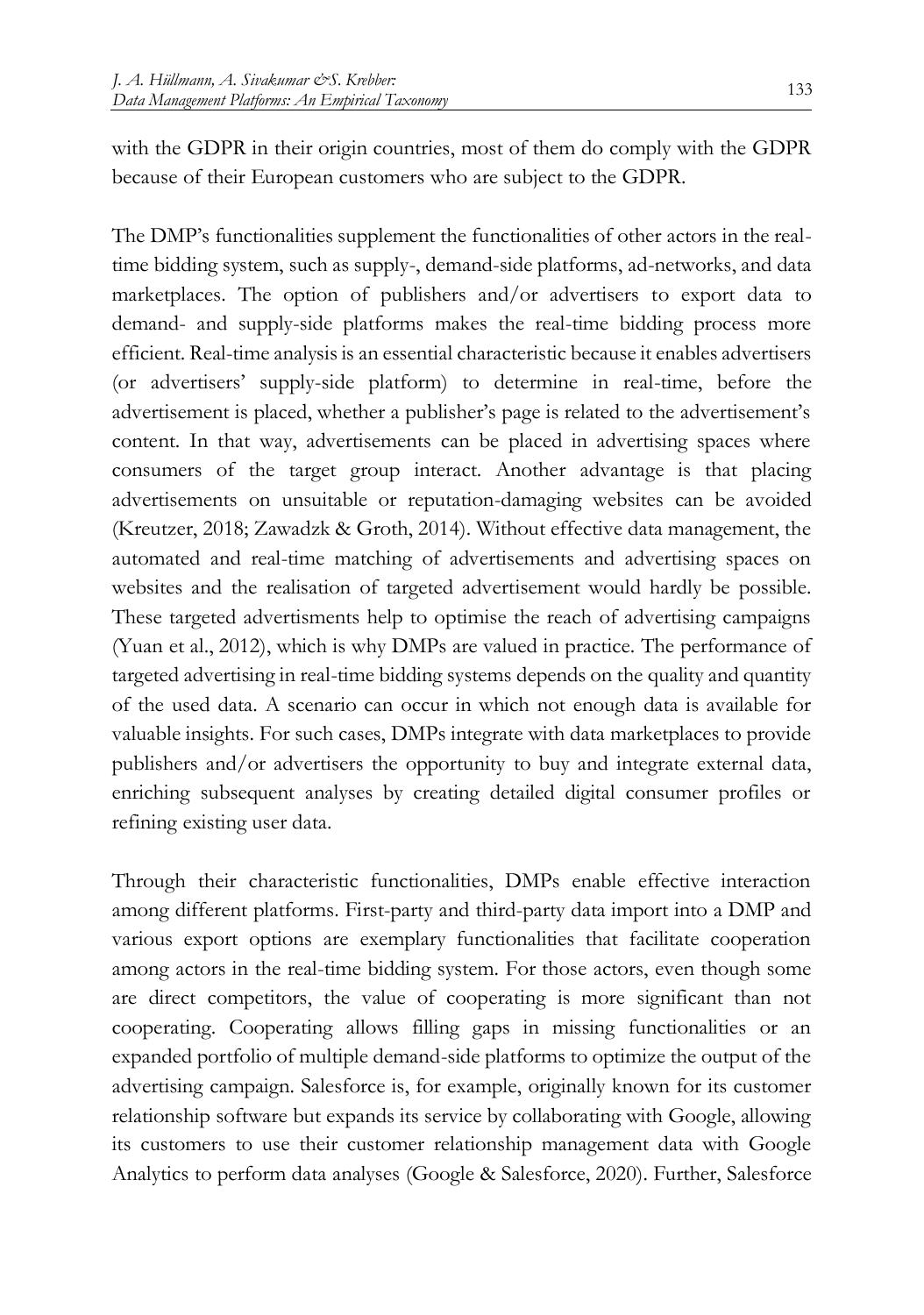with the GDPR in their origin countries, most of them do comply with the GDPR because of their European customers who are subject to the GDPR.

The DMP's functionalities supplement the functionalities of other actors in the realtime bidding system, such as supply-, demand-side platforms, ad-networks, and data marketplaces. The option of publishers and/or advertisers to export data to demand- and supply-side platforms makes the real-time bidding process more efficient. Real-time analysis is an essential characteristic because it enables advertisers (or advertisers' supply-side platform) to determine in real-time, before the advertisement is placed, whether a publisher's page is related to the advertisement's content. In that way, advertisements can be placed in advertising spaces where consumers of the target group interact. Another advantage is that placing advertisements on unsuitable or reputation-damaging websites can be avoided (Kreutzer, 2018; Zawadzk & Groth, 2014). Without effective data management, the automated and real-time matching of advertisements and advertising spaces on websites and the realisation of targeted advertisement would hardly be possible. These targeted advertisments help to optimise the reach of advertising campaigns (Yuan et al., 2012), which is why DMPs are valued in practice. The performance of targeted advertising in real-time bidding systems depends on the quality and quantity of the used data. A scenario can occur in which not enough data is available for valuable insights. For such cases, DMPs integrate with data marketplaces to provide publishers and/or advertisers the opportunity to buy and integrate external data, enriching subsequent analyses by creating detailed digital consumer profiles or refining existing user data.

Through their characteristic functionalities, DMPs enable effective interaction among different platforms. First-party and third-party data import into a DMP and various export options are exemplary functionalities that facilitate cooperation among actors in the real-time bidding system. For those actors, even though some are direct competitors, the value of cooperating is more significant than not cooperating. Cooperating allows filling gaps in missing functionalities or an expanded portfolio of multiple demand-side platforms to optimize the output of the advertising campaign. Salesforce is, for example, originally known for its customer relationship software but expands its service by collaborating with Google, allowing its customers to use their customer relationship management data with Google Analytics to perform data analyses (Google & Salesforce, 2020). Further, Salesforce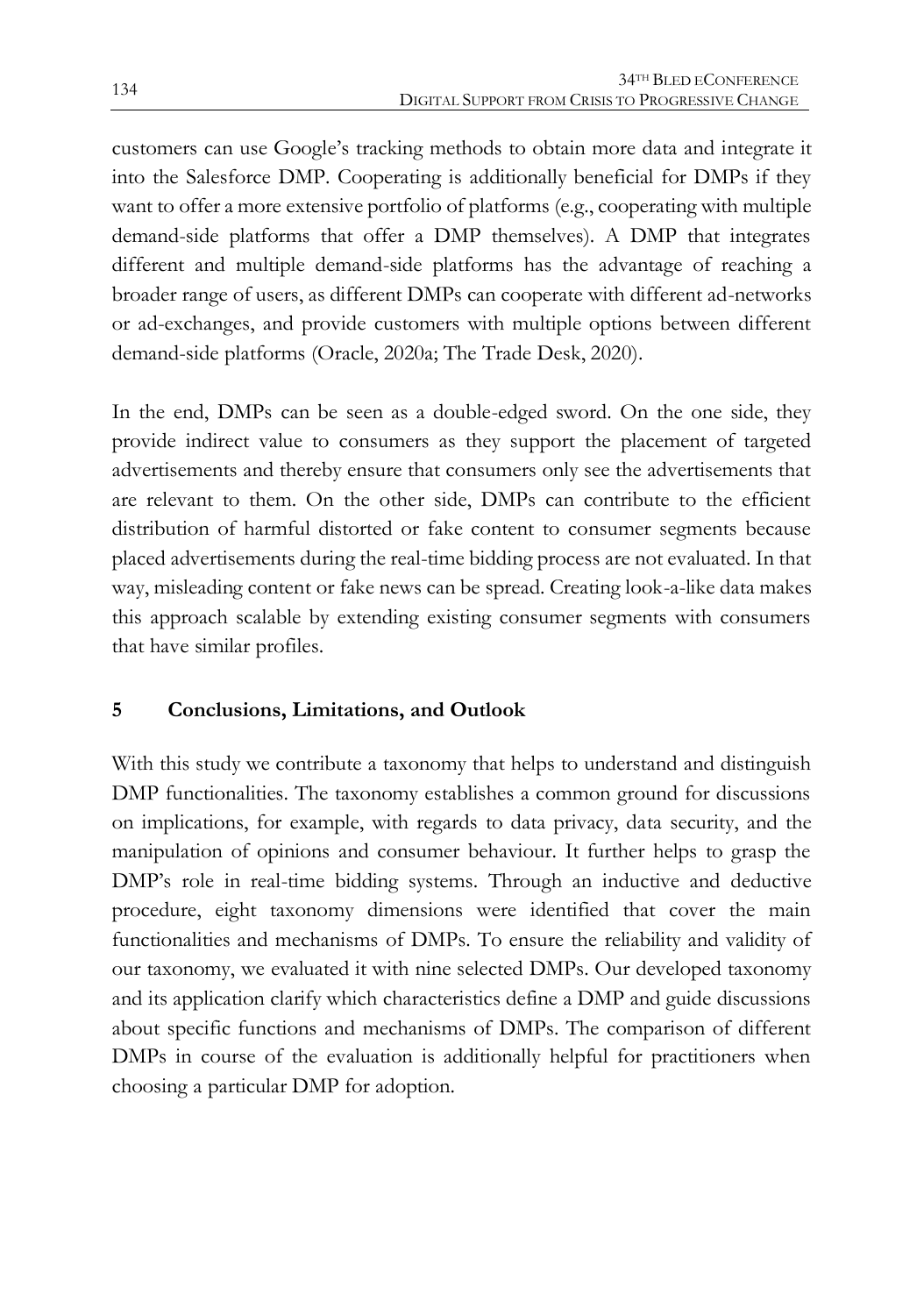customers can use Google's tracking methods to obtain more data and integrate it into the Salesforce DMP. Cooperating is additionally beneficial for DMPs if they want to offer a more extensive portfolio of platforms (e.g., cooperating with multiple demand-side platforms that offer a DMP themselves). A DMP that integrates different and multiple demand-side platforms has the advantage of reaching a broader range of users, as different DMPs can cooperate with different ad-networks or ad-exchanges, and provide customers with multiple options between different demand-side platforms (Oracle, 2020a; The Trade Desk, 2020).

In the end, DMPs can be seen as a double-edged sword. On the one side, they provide indirect value to consumers as they support the placement of targeted advertisements and thereby ensure that consumers only see the advertisements that are relevant to them. On the other side, DMPs can contribute to the efficient distribution of harmful distorted or fake content to consumer segments because placed advertisements during the real-time bidding process are not evaluated. In that way, misleading content or fake news can be spread. Creating look-a-like data makes this approach scalable by extending existing consumer segments with consumers that have similar profiles.

#### **5 Conclusions, Limitations, and Outlook**

With this study we contribute a taxonomy that helps to understand and distinguish DMP functionalities. The taxonomy establishes a common ground for discussions on implications, for example, with regards to data privacy, data security, and the manipulation of opinions and consumer behaviour. It further helps to grasp the DMP's role in real-time bidding systems. Through an inductive and deductive procedure, eight taxonomy dimensions were identified that cover the main functionalities and mechanisms of DMPs. To ensure the reliability and validity of our taxonomy, we evaluated it with nine selected DMPs. Our developed taxonomy and its application clarify which characteristics define a DMP and guide discussions about specific functions and mechanisms of DMPs. The comparison of different DMPs in course of the evaluation is additionally helpful for practitioners when choosing a particular DMP for adoption.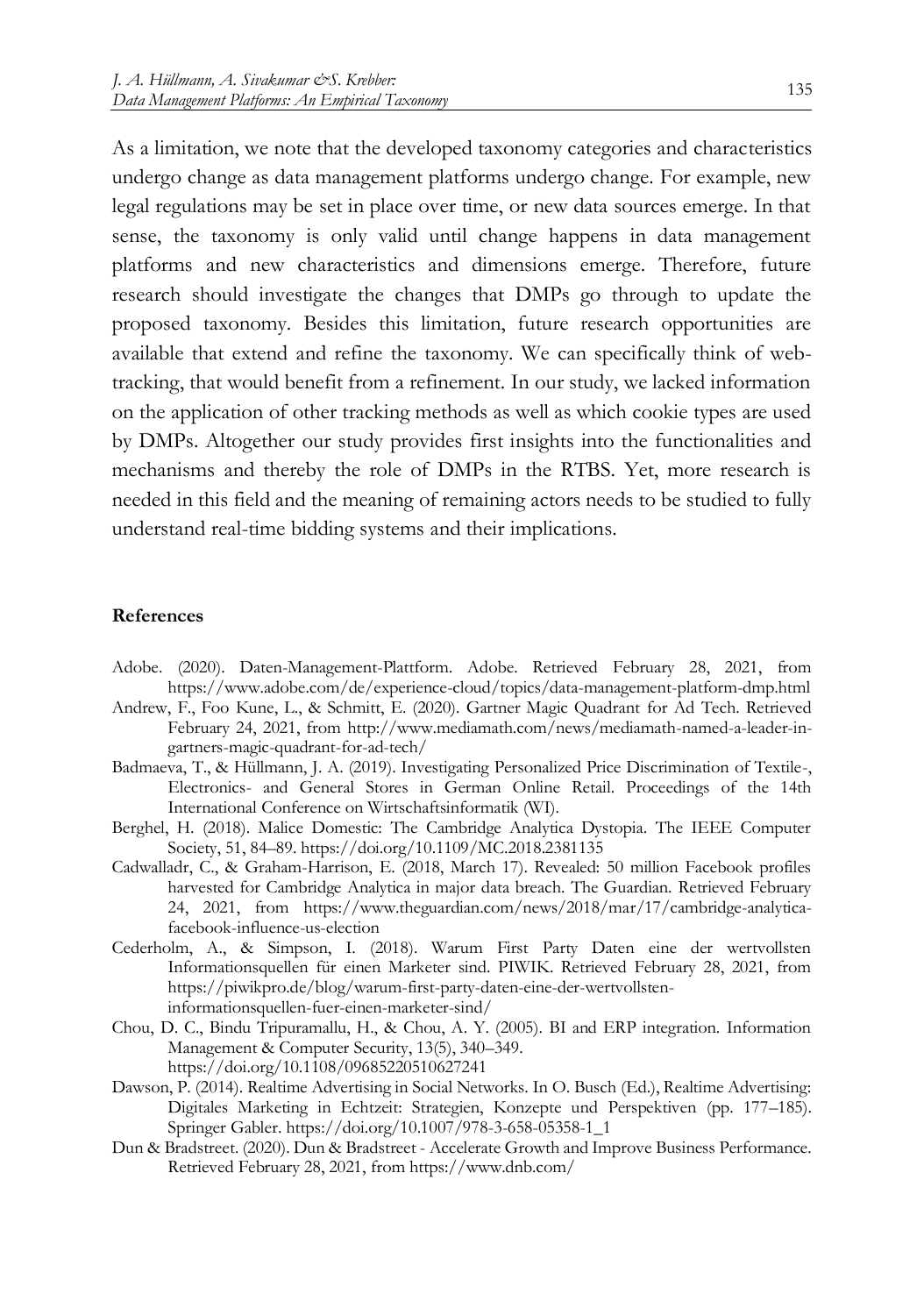As a limitation, we note that the developed taxonomy categories and characteristics undergo change as data management platforms undergo change. For example, new legal regulations may be set in place over time, or new data sources emerge. In that sense, the taxonomy is only valid until change happens in data management platforms and new characteristics and dimensions emerge. Therefore, future research should investigate the changes that DMPs go through to update the proposed taxonomy. Besides this limitation, future research opportunities are available that extend and refine the taxonomy. We can specifically think of webtracking, that would benefit from a refinement. In our study, we lacked information on the application of other tracking methods as well as which cookie types are used by DMPs. Altogether our study provides first insights into the functionalities and mechanisms and thereby the role of DMPs in the RTBS. Yet, more research is needed in this field and the meaning of remaining actors needs to be studied to fully understand real-time bidding systems and their implications.

#### **References**

- Adobe. (2020). Daten-Management-Plattform. Adobe. Retrieved February 28, 2021, from https://www.adobe.com/de/experience-cloud/topics/data-management-platform-dmp.html
- Andrew, F., Foo Kune, L., & Schmitt, E. (2020). Gartner Magic Quadrant for Ad Tech. Retrieved February 24, 2021, from http://www.mediamath.com/news/mediamath-named-a-leader-ingartners-magic-quadrant-for-ad-tech/
- Badmaeva, T., & Hüllmann, J. A. (2019). Investigating Personalized Price Discrimination of Textile-, Electronics- and General Stores in German Online Retail. Proceedings of the 14th International Conference on Wirtschaftsinformatik (WI).
- Berghel, H. (2018). Malice Domestic: The Cambridge Analytica Dystopia. The IEEE Computer Society, 51, 84–89. https://doi.org/10.1109/MC.2018.2381135
- Cadwalladr, C., & Graham-Harrison, E. (2018, March 17). Revealed: 50 million Facebook profiles harvested for Cambridge Analytica in major data breach. The Guardian. Retrieved February 24, 2021, from https://www.theguardian.com/news/2018/mar/17/cambridge-analyticafacebook-influence-us-election
- Cederholm, A., & Simpson, I. (2018). Warum First Party Daten eine der wertvollsten Informationsquellen für einen Marketer sind. PIWIK. Retrieved February 28, 2021, from https://piwikpro.de/blog/warum-first-party-daten-eine-der-wertvollsteninformationsquellen-fuer-einen-marketer-sind/
- Chou, D. C., Bindu Tripuramallu, H., & Chou, A. Y. (2005). BI and ERP integration. Information Management & Computer Security, 13(5), 340–349. https://doi.org/10.1108/09685220510627241
- Dawson, P. (2014). Realtime Advertising in Social Networks. In O. Busch (Ed.), Realtime Advertising: Digitales Marketing in Echtzeit: Strategien, Konzepte und Perspektiven (pp. 177–185). Springer Gabler. https://doi.org/10.1007/978-3-658-05358-1\_1
- Dun & Bradstreet. (2020). Dun & Bradstreet Accelerate Growth and Improve Business Performance. Retrieved February 28, 2021, from https://www.dnb.com/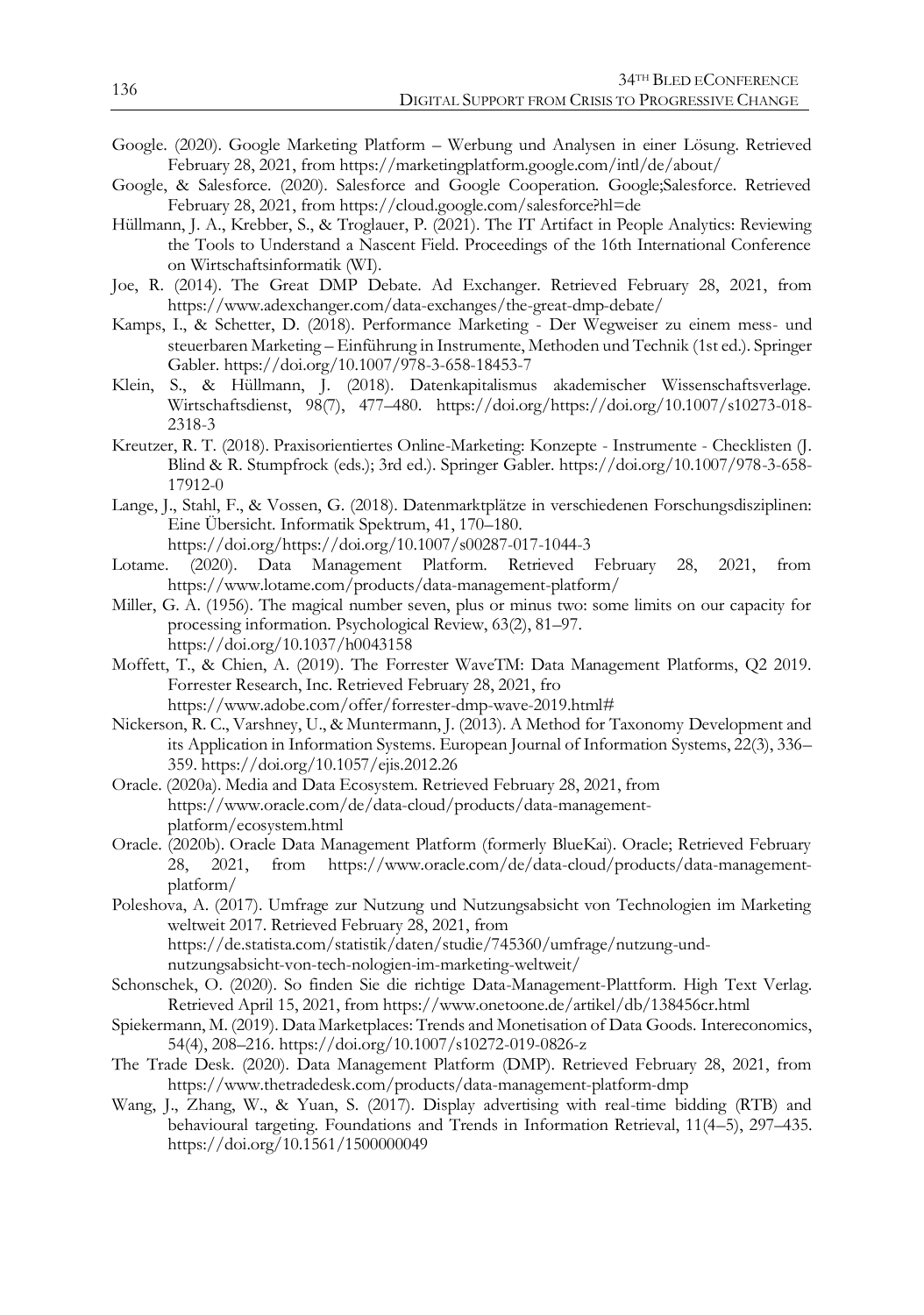- Google. (2020). Google Marketing Platform Werbung und Analysen in einer Lösung. Retrieved February 28, 2021, from https://marketingplatform.google.com/intl/de/about/
- Google, & Salesforce. (2020). Salesforce and Google Cooperation. Google;Salesforce. Retrieved February 28, 2021, from https://cloud.google.com/salesforce?hl=de
- Hüllmann, J. A., Krebber, S., & Troglauer, P. (2021). The IT Artifact in People Analytics: Reviewing the Tools to Understand a Nascent Field. Proceedings of the 16th International Conference on Wirtschaftsinformatik (WI).
- Joe, R. (2014). The Great DMP Debate. Ad Exchanger. Retrieved February 28, 2021, from https://www.adexchanger.com/data-exchanges/the-great-dmp-debate/
- Kamps, I., & Schetter, D. (2018). Performance Marketing Der Wegweiser zu einem mess- und steuerbaren Marketing – Einführung in Instrumente, Methoden und Technik (1st ed.). Springer Gabler. https://doi.org/10.1007/978-3-658-18453-7
- Klein, S., & Hüllmann, J. (2018). Datenkapitalismus akademischer Wissenschaftsverlage. Wirtschaftsdienst, 98(7), 477–480. https://doi.org/https://doi.org/10.1007/s10273-018- 2318-3
- Kreutzer, R. T. (2018). Praxisorientiertes Online-Marketing: Konzepte Instrumente Checklisten (J. Blind & R. Stumpfrock (eds.); 3rd ed.). Springer Gabler. https://doi.org/10.1007/978-3-658- 17912-0
- Lange, J., Stahl, F., & Vossen, G. (2018). Datenmarktplätze in verschiedenen Forschungsdisziplinen: Eine Übersicht. Informatik Spektrum, 41, 170–180. https://doi.org/https://doi.org/10.1007/s00287-017-1044-3
	-
- Lotame. (2020). Data Management Platform. Retrieved February 28, 2021, from https://www.lotame.com/products/data-management-platform/
- Miller, G. A. (1956). The magical number seven, plus or minus two: some limits on our capacity for processing information. Psychological Review, 63(2), 81–97. https://doi.org/10.1037/h0043158
- Moffett, T., & Chien, A. (2019). The Forrester WaveTM: Data Management Platforms, Q2 2019. Forrester Research, Inc. Retrieved February 28, 2021, fro https://www.adobe.com/offer/forrester-dmp-wave-2019.html#
- Nickerson, R. C., Varshney, U., & Muntermann, J. (2013). A Method for Taxonomy Development and its Application in Information Systems. European Journal of Information Systems, 22(3), 336– 359. https://doi.org/10.1057/ejis.2012.26
- Oracle. (2020a). Media and Data Ecosystem. Retrieved February 28, 2021, from https://www.oracle.com/de/data-cloud/products/data-managementplatform/ecosystem.html
- Oracle. (2020b). Oracle Data Management Platform (formerly BlueKai). Oracle; Retrieved February 28, 2021, from https://www.oracle.com/de/data-cloud/products/data-managementplatform/
- Poleshova, A. (2017). Umfrage zur Nutzung und Nutzungsabsicht von Technologien im Marketing weltweit 2017. Retrieved February 28, 2021, from https://de.statista.com/statistik/daten/studie/745360/umfrage/nutzung-undnutzungsabsicht-von-tech-nologien-im-marketing-weltweit/
- Schonschek, O. (2020). So finden Sie die richtige Data-Management-Plattform. High Text Verlag. Retrieved April 15, 2021, from https://www.onetoone.de/artikel/db/138456cr.html
- Spiekermann, M. (2019). Data Marketplaces: Trends and Monetisation of Data Goods. Intereconomics, 54(4), 208–216. https://doi.org/10.1007/s10272-019-0826-z
- The Trade Desk. (2020). Data Management Platform (DMP). Retrieved February 28, 2021, from https://www.thetradedesk.com/products/data-management-platform-dmp
- Wang, J., Zhang, W., & Yuan, S. (2017). Display advertising with real-time bidding (RTB) and behavioural targeting. Foundations and Trends in Information Retrieval, 11(4–5), 297–435. https://doi.org/10.1561/1500000049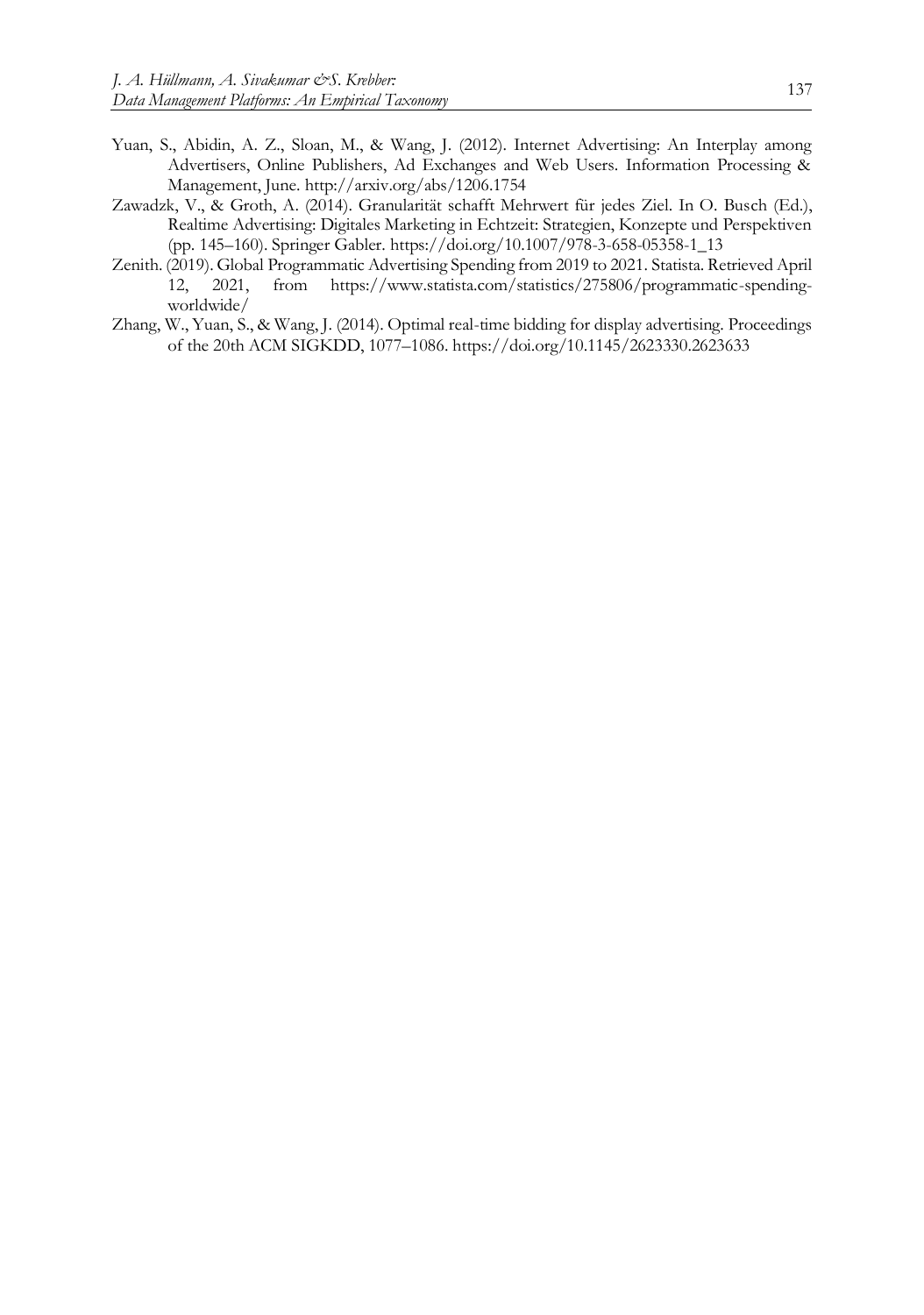- Yuan, S., Abidin, A. Z., Sloan, M., & Wang, J. (2012). Internet Advertising: An Interplay among Advertisers, Online Publishers, Ad Exchanges and Web Users. Information Processing & Management, June. http://arxiv.org/abs/1206.1754
- Zawadzk, V., & Groth, A. (2014). Granularität schafft Mehrwert für jedes Ziel. In O. Busch (Ed.), Realtime Advertising: Digitales Marketing in Echtzeit: Strategien, Konzepte und Perspektiven (pp. 145–160). Springer Gabler. https://doi.org/10.1007/978-3-658-05358-1\_13
- Zenith. (2019). Global Programmatic Advertising Spending from 2019 to 2021. Statista. Retrieved April from https://www.statista.com/statistics/275806/programmatic-spendingworldwide/
- Zhang, W., Yuan, S., & Wang, J. (2014). Optimal real-time bidding for display advertising. Proceedings of the 20th ACM SIGKDD, 1077–1086. https://doi.org/10.1145/2623330.2623633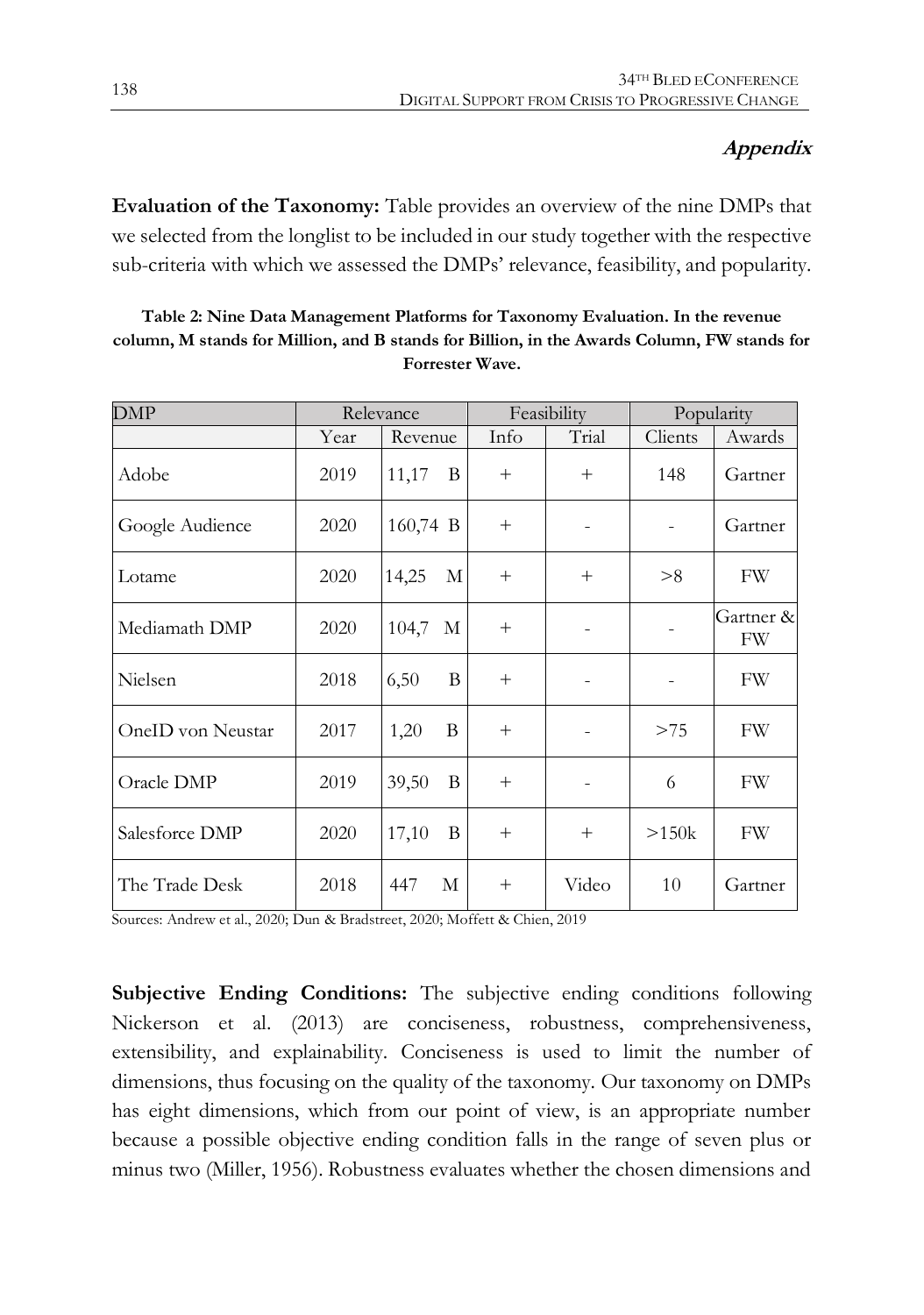#### **Appendix**

**Evaluation of the Taxonomy:** [Table](#page-14-0) provides an overview of the nine DMPs that we selected from the longlist to be included in our study together with the respective sub-criteria with which we assessed the DMPs' relevance, feasibility, and popularity.

<span id="page-14-0"></span>

| Table 2: Nine Data Management Platforms for Taxonomy Evaluation. In the revenue             |
|---------------------------------------------------------------------------------------------|
| column, M stands for Million, and B stands for Billion, in the Awards Column, FW stands for |
| <b>Forrester Wave.</b>                                                                      |

| <b>DMP</b>        | Relevance |            |        | Feasibility | Popularity |                 |  |
|-------------------|-----------|------------|--------|-------------|------------|-----------------|--|
|                   | Year      | Revenue    | Info   | Trial       | Clients    | Awards          |  |
| Adobe             | 2019      | 11,17<br>B | $^{+}$ | $^{+}$      | 148        | Gartner         |  |
| Google Audience   | 2020      | 160,74 B   | $+$    |             | ۰          | Gartner         |  |
| Lotame            | 2020      | 14,25<br>M | $+$    | $^{+}$      | > 8        | <b>FW</b>       |  |
| Mediamath DMP     | 2020      | 104,7<br>М | $^{+}$ |             |            | Gartner &<br>FW |  |
| Nielsen           | 2018      | 6,50<br>B  | $^{+}$ |             |            | FW              |  |
| OneID von Neustar | 2017      | B<br>1,20  | $+$    |             | >75        | FW              |  |
| Oracle DMP        | 2019      | 39,50<br>B | $^{+}$ |             | 6          | FW              |  |
| Salesforce DMP    | 2020      | 17,10<br>B | $^{+}$ | $^{+}$      | >150k      | FW              |  |
| The Trade Desk    | 2018      | 447<br>М   | $^{+}$ | Video       | 10         | Gartner         |  |

Sources: Andrew et al., 2020; Dun & Bradstreet, 2020; Moffett & Chien, 2019

**Subjective Ending Conditions:** The subjective ending conditions following Nickerson et al. (2013) are conciseness, robustness, comprehensiveness, extensibility, and explainability. Conciseness is used to limit the number of dimensions, thus focusing on the quality of the taxonomy. Our taxonomy on DMPs has eight dimensions, which from our point of view, is an appropriate number because a possible objective ending condition falls in the range of seven plus or minus two (Miller, 1956). Robustness evaluates whether the chosen dimensions and